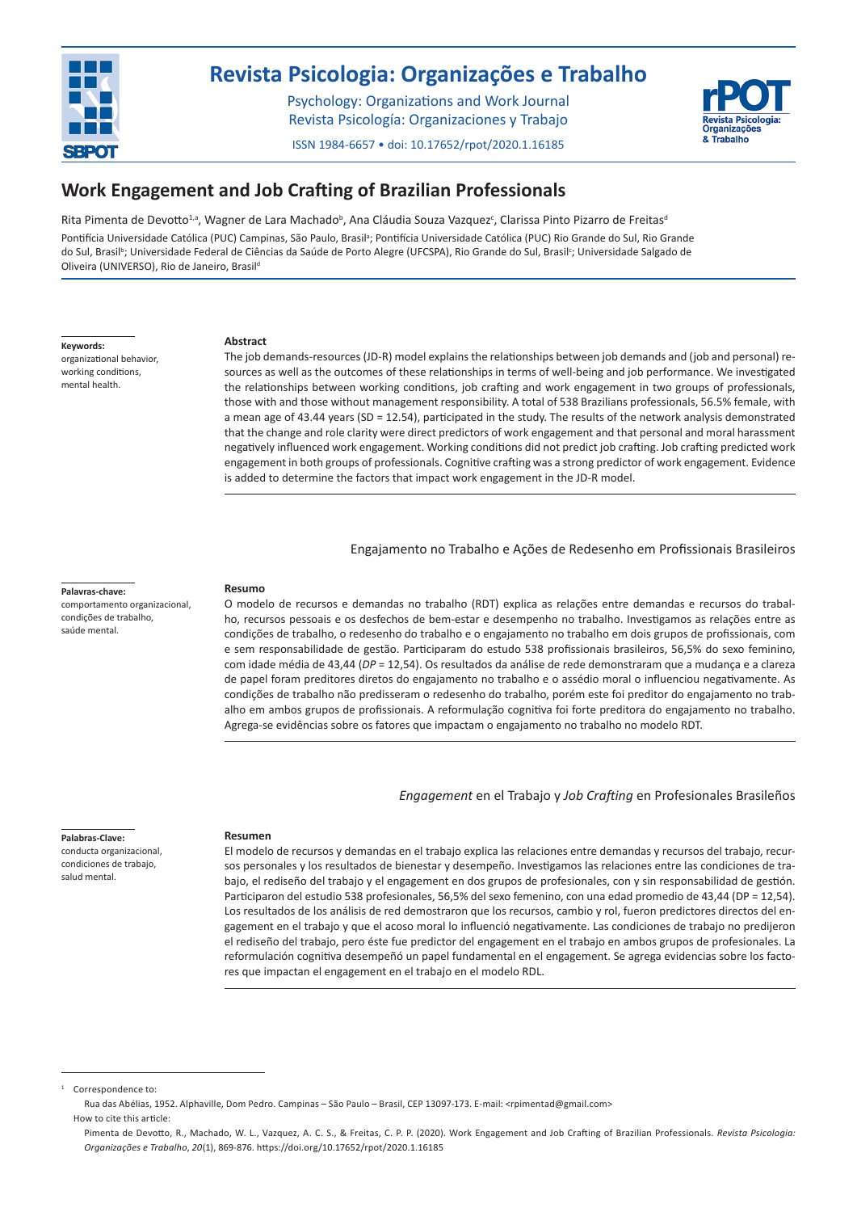

# **[Revista Psicologia: Organizações e Trabalho](http://pepsic.bvsalud.org/scielo.php?script=sci_issues&pid=1984-6657&lng=pt&nrm=iso)**

Psychology: Organizations and Work Journal Revista Psicología: Organizaciones y Trabajo

ISSN 1984-6657 • doi: 10.17652/rpot/2020.1.16185



**869**

# **Work Engagement and Job Crafting of Brazilian Professionals**

Rita Pimenta de Devotto<sup>1,a</sup>, Wagner de Lara Machado<sup>b</sup>, Ana Cláudia Souza Vazquez<sup>c</sup>, Clarissa Pinto Pizarro de Freitas<sup>e</sup> Pontifícia Universidade Católica (PUC) Campinas, São Paulo, Brasil<sup>a</sup>; Pontifícia Universidade Católica (PUC) Rio Grande do Sul, Rio Grande do Sul, Brasil<sup>b</sup>; Universidade Federal de Ciências da Saúde de Porto Alegre (UFCSPA), Rio Grande do Sul, Brasil<sup>c</sup>; Universidade Salgado de Oliveira (UNIVERSO), Rio de Janeiro, Brasil<sup>d</sup>

**Keywords:**

organizational behavior, working conditions, mental health.

#### **Abstract**

The job demands-resources (JD-R) model explains the relationships between job demands and (job and personal) resources as well as the outcomes of these relationships in terms of well-being and job performance. We investigated the relationships between working conditions, job crafting and work engagement in two groups of professionals, those with and those without management responsibility. A total of 538 Brazilians professionals, 56.5% female, with a mean age of 43.44 years (SD = 12.54), participated in the study. The results of the network analysis demonstrated that the change and role clarity were direct predictors of work engagement and that personal and moral harassment negatively influenced work engagement. Working conditions did not predict job crafting. Job crafting predicted work engagement in both groups of professionals. Cognitive crafting was a strong predictor of work engagement. Evidence is added to determine the factors that impact work engagement in the JD-R model.

Engajamento no Trabalho e Ações de Redesenho em Profissionais Brasileiros

#### **Palavras-chave:**

comportamento organizacional, condições de trabalho, saúde mental.

#### **Resumo**

O modelo de recursos e demandas no trabalho (RDT) explica as relações entre demandas e recursos do trabalho, recursos pessoais e os desfechos de bem-estar e desempenho no trabalho. Investigamos as relações entre as condições de trabalho, o redesenho do trabalho e o engajamento no trabalho em dois grupos de profissionais, com e sem responsabilidade de gestão. Participaram do estudo 538 profissionais brasileiros, 56,5% do sexo feminino, com idade média de 43,44 (*DP* = 12,54). Os resultados da análise de rede demonstraram que a mudança e a clareza de papel foram preditores diretos do engajamento no trabalho e o assédio moral o influenciou negativamente. As condições de trabalho não predisseram o redesenho do trabalho, porém este foi preditor do engajamento no trabalho em ambos grupos de profissionais. A reformulação cognitiva foi forte preditora do engajamento no trabalho. Agrega-se evidências sobre os fatores que impactam o engajamento no trabalho no modelo RDT.

*Engagement* en el Trabajo y *Job Crafting* en Profesionales Brasileños

#### **Palabras-Clave:**

conducta organizacional, condiciones de trabajo, salud mental.

### **Resumen**

El modelo de recursos y demandas en el trabajo explica las relaciones entre demandas y recursos del trabajo, recursos personales y los resultados de bienestar y desempeño. Investigamos las relaciones entre las condiciones de trabajo, el rediseño del trabajo y el engagement en dos grupos de profesionales, con y sin responsabilidad de gestión. Participaron del estudio 538 profesionales, 56,5% del sexo femenino, con una edad promedio de 43,44 (DP = 12,54). Los resultados de los análisis de red demostraron que los recursos, cambio y rol, fueron predictores directos del engagement en el trabajo y que el acoso moral lo influenció negativamente. Las condiciones de trabajo no predijeron el rediseño del trabajo, pero éste fue predictor del engagement en el trabajo en ambos grupos de profesionales. La reformulación cognitiva desempeñó un papel fundamental en el engagement. Se agrega evidencias sobre los factores que impactan el engagement en el trabajo en el modelo RDL.

Correspondence to

Rua das Abélias, 1952. Alphaville, Dom Pedro. Campinas – São Paulo – Brasil, CEP 13097-173. E-mail: <rpimentad@gmail.com> How to cite this article:

Pimenta de Devotto, R., Machado, W. L., Vazquez, A. C. S., & Freitas, C. P. P. (2020). Work Engagement and Job Crafting of Brazilian Professionals. *Revista Psicologia: Organizações e Trabalho*, *20*(1), 869-876. https://doi.org/10.17652/rpot/2020.1.16185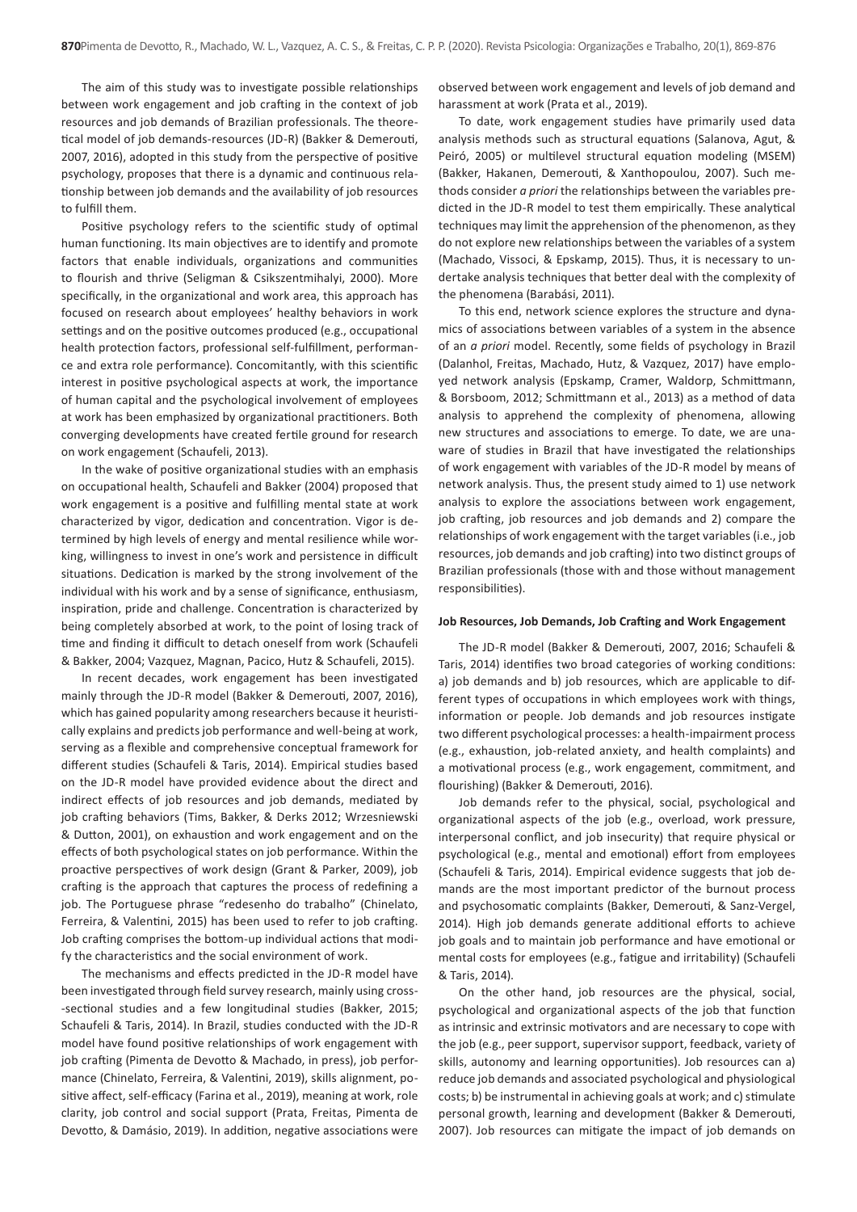The aim of this study was to investigate possible relationships between work engagement and job crafting in the context of job resources and job demands of Brazilian professionals. The theoretical model of job demands-resources (JD-R) (Bakker & Demerouti, 2007, 2016), adopted in this study from the perspective of positive psychology, proposes that there is a dynamic and continuous relationship between job demands and the availability of job resources to fulfill them.

Positive psychology refers to the scientific study of optimal human functioning. Its main objectives are to identify and promote factors that enable individuals, organizations and communities to flourish and thrive (Seligman & Csikszentmihalyi, 2000). More specifically, in the organizational and work area, this approach has focused on research about employees' healthy behaviors in work settings and on the positive outcomes produced (e.g., occupational health protection factors, professional self-fulfillment, performance and extra role performance). Concomitantly, with this scientific interest in positive psychological aspects at work, the importance of human capital and the psychological involvement of employees at work has been emphasized by organizational practitioners. Both converging developments have created fertile ground for research on work engagement (Schaufeli, 2013).

In the wake of positive organizational studies with an emphasis on occupational health, Schaufeli and Bakker (2004) proposed that work engagement is a positive and fulfilling mental state at work characterized by vigor, dedication and concentration. Vigor is determined by high levels of energy and mental resilience while working, willingness to invest in one's work and persistence in difficult situations. Dedication is marked by the strong involvement of the individual with his work and by a sense of significance, enthusiasm, inspiration, pride and challenge. Concentration is characterized by being completely absorbed at work, to the point of losing track of time and finding it difficult to detach oneself from work (Schaufeli & Bakker, 2004; Vazquez, Magnan, Pacico, Hutz & Schaufeli, 2015).

In recent decades, work engagement has been investigated mainly through the JD-R model (Bakker & Demerouti, 2007, 2016), which has gained popularity among researchers because it heuristically explains and predicts job performance and well-being at work, serving as a flexible and comprehensive conceptual framework for different studies (Schaufeli & Taris, 2014). Empirical studies based on the JD-R model have provided evidence about the direct and indirect effects of job resources and job demands, mediated by job crafting behaviors (Tims, Bakker, & Derks 2012; Wrzesniewski & Dutton, 2001), on exhaustion and work engagement and on the effects of both psychological states on job performance. Within the proactive perspectives of work design (Grant & Parker, 2009), job crafting is the approach that captures the process of redefining a job. The Portuguese phrase "redesenho do trabalho" (Chinelato, Ferreira, & Valentini, 2015) has been used to refer to job crafting. Job crafting comprises the bottom-up individual actions that modify the characteristics and the social environment of work.

The mechanisms and effects predicted in the JD-R model have been investigated through field survey research, mainly using cross- -sectional studies and a few longitudinal studies (Bakker, 2015; Schaufeli & Taris, 2014). In Brazil, studies conducted with the JD-R model have found positive relationships of work engagement with job crafting (Pimenta de Devotto & Machado, in press), job performance (Chinelato, Ferreira, & Valentini, 2019), skills alignment, positive affect, self-efficacy (Farina et al., 2019), meaning at work, role clarity, job control and social support (Prata, Freitas, Pimenta de Devotto, & Damásio, 2019). In addition, negative associations were

observed between work engagement and levels of job demand and harassment at work (Prata et al., 2019).

To date, work engagement studies have primarily used data analysis methods such as structural equations (Salanova, Agut, & Peiró, 2005) or multilevel structural equation modeling (MSEM) (Bakker, Hakanen, Demerouti, & Xanthopoulou, 2007). Such methods consider *a priori* the relationships between the variables predicted in the JD-R model to test them empirically. These analytical techniques may limit the apprehension of the phenomenon, as they do not explore new relationships between the variables of a system (Machado, Vissoci, & Epskamp, 2015). Thus, it is necessary to undertake analysis techniques that better deal with the complexity of the phenomena (Barabási, 2011).

To this end, network science explores the structure and dynamics of associations between variables of a system in the absence of an *a priori* model. Recently, some fields of psychology in Brazil (Dalanhol, Freitas, Machado, Hutz, & Vazquez, 2017) have employed network analysis (Epskamp, Cramer, Waldorp, Schmittmann, & Borsboom, 2012; Schmittmann et al., 2013) as a method of data analysis to apprehend the complexity of phenomena, allowing new structures and associations to emerge. To date, we are unaware of studies in Brazil that have investigated the relationships of work engagement with variables of the JD-R model by means of network analysis. Thus, the present study aimed to 1) use network analysis to explore the associations between work engagement, job crafting, job resources and job demands and 2) compare the relationships of work engagement with the target variables (i.e., job resources, job demands and job crafting) into two distinct groups of Brazilian professionals (those with and those without management responsibilities).

# **Job Resources, Job Demands, Job Crafting and Work Engagement**

The JD-R model (Bakker & Demerouti, 2007, 2016; Schaufeli & Taris, 2014) identifies two broad categories of working conditions: a) job demands and b) job resources, which are applicable to different types of occupations in which employees work with things, information or people. Job demands and job resources instigate two different psychological processes: a health-impairment process (e.g., exhaustion, job-related anxiety, and health complaints) and a motivational process (e.g., work engagement, commitment, and flourishing) (Bakker & Demerouti, 2016).

Job demands refer to the physical, social, psychological and organizational aspects of the job (e.g., overload, work pressure, interpersonal conflict, and job insecurity) that require physical or psychological (e.g., mental and emotional) effort from employees (Schaufeli & Taris, 2014). Empirical evidence suggests that job demands are the most important predictor of the burnout process and psychosomatic complaints (Bakker, Demerouti, & Sanz-Vergel, 2014). High job demands generate additional efforts to achieve job goals and to maintain job performance and have emotional or mental costs for employees (e.g., fatigue and irritability) (Schaufeli & Taris, 2014).

On the other hand, job resources are the physical, social, psychological and organizational aspects of the job that function as intrinsic and extrinsic motivators and are necessary to cope with the job (e.g., peer support, supervisor support, feedback, variety of skills, autonomy and learning opportunities). Job resources can a) reduce job demands and associated psychological and physiological costs; b) be instrumental in achieving goals at work; and c) stimulate personal growth, learning and development (Bakker & Demerouti, 2007). Job resources can mitigate the impact of job demands on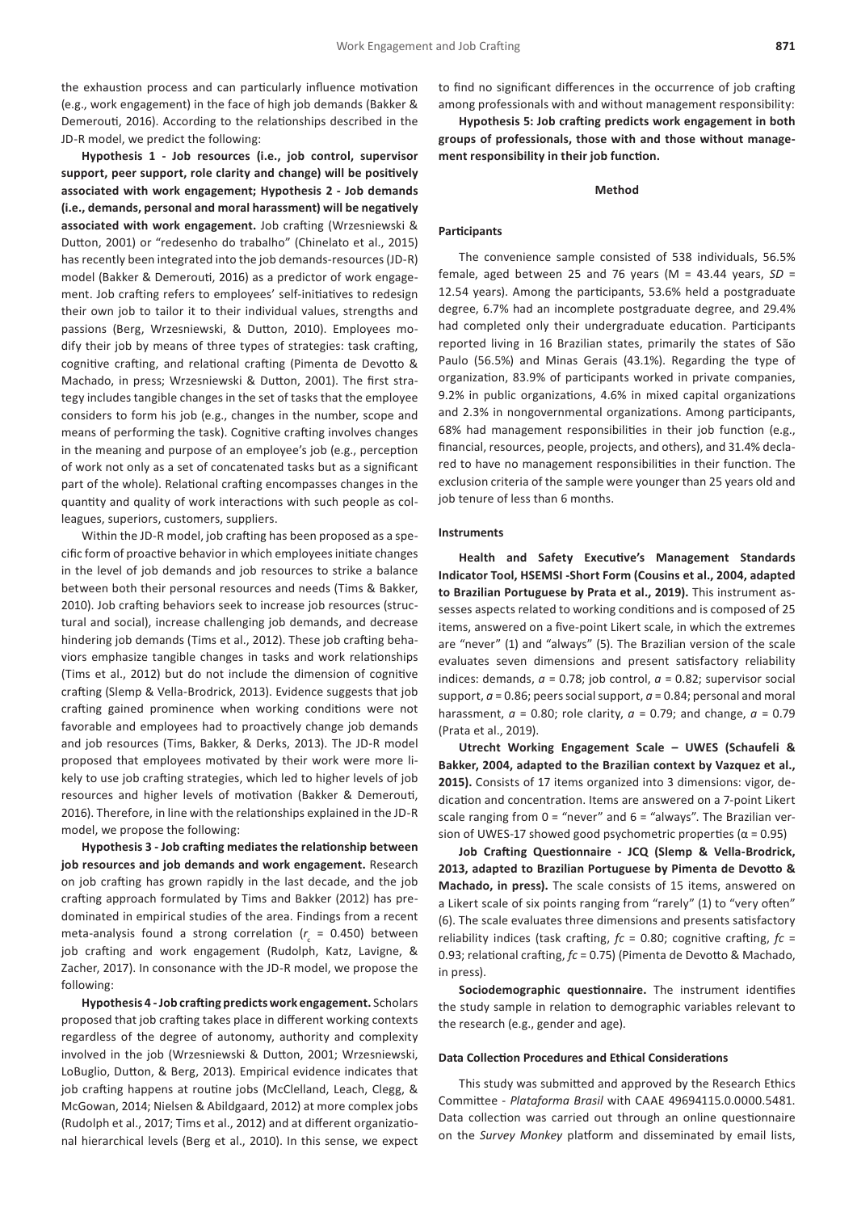the exhaustion process and can particularly influence motivation (e.g., work engagement) in the face of high job demands (Bakker & Demerouti, 2016). According to the relationships described in the JD-R model, we predict the following:

**Hypothesis 1 - Job resources (i.e., job control, supervisor support, peer support, role clarity and change) will be positively associated with work engagement; Hypothesis 2 - Job demands (i.e., demands, personal and moral harassment) will be negatively associated with work engagement.** Job crafting (Wrzesniewski & Dutton, 2001) or "redesenho do trabalho" (Chinelato et al., 2015) has recently been integrated into the job demands-resources (JD-R) model (Bakker & Demerouti, 2016) as a predictor of work engagement. Job crafting refers to employees' self-initiatives to redesign their own job to tailor it to their individual values, strengths and passions (Berg, Wrzesniewski, & Dutton, 2010). Employees modify their job by means of three types of strategies: task crafting, cognitive crafting, and relational crafting (Pimenta de Devotto & Machado, in press; Wrzesniewski & Dutton, 2001). The first strategy includes tangible changes in the set of tasks that the employee considers to form his job (e.g., changes in the number, scope and means of performing the task). Cognitive crafting involves changes in the meaning and purpose of an employee's job (e.g., perception of work not only as a set of concatenated tasks but as a significant part of the whole). Relational crafting encompasses changes in the quantity and quality of work interactions with such people as colleagues, superiors, customers, suppliers.

Within the JD-R model, job crafting has been proposed as a specific form of proactive behavior in which employees initiate changes in the level of job demands and job resources to strike a balance between both their personal resources and needs (Tims & Bakker, 2010). Job crafting behaviors seek to increase job resources (structural and social), increase challenging job demands, and decrease hindering job demands (Tims et al., 2012). These job crafting behaviors emphasize tangible changes in tasks and work relationships (Tims et al., 2012) but do not include the dimension of cognitive crafting (Slemp & Vella-Brodrick, 2013). Evidence suggests that job crafting gained prominence when working conditions were not favorable and employees had to proactively change job demands and job resources (Tims, Bakker, & Derks, 2013). The JD-R model proposed that employees motivated by their work were more likely to use job crafting strategies, which led to higher levels of job resources and higher levels of motivation (Bakker & Demerouti, 2016). Therefore, in line with the relationships explained in the JD-R model, we propose the following:

**Hypothesis 3 - Job crafting mediates the relationship between job resources and job demands and work engagement.** Research on job crafting has grown rapidly in the last decade, and the job crafting approach formulated by Tims and Bakker (2012) has predominated in empirical studies of the area. Findings from a recent meta-analysis found a strong correlation ( $r_c$  = 0.450) between job crafting and work engagement (Rudolph, Katz, Lavigne, & Zacher, 2017). In consonance with the JD-R model, we propose the following:

**Hypothesis 4 - Job crafting predicts work engagement.** Scholars proposed that job crafting takes place in different working contexts regardless of the degree of autonomy, authority and complexity involved in the job (Wrzesniewski & Dutton, 2001; Wrzesniewski, LoBuglio, Dutton, & Berg, 2013). Empirical evidence indicates that job crafting happens at routine jobs (McClelland, Leach, Clegg, & McGowan, 2014; Nielsen & Abildgaard, 2012) at more complex jobs (Rudolph et al., 2017; Tims et al., 2012) and at different organizational hierarchical levels (Berg et al., 2010). In this sense, we expect to find no significant differences in the occurrence of job crafting among professionals with and without management responsibility:

**Hypothesis 5: Job crafting predicts work engagement in both groups of professionals, those with and those without management responsibility in their job function.**

#### **Method**

## **Participants**

The convenience sample consisted of 538 individuals, 56.5% female, aged between 25 and 76 years (M = 43.44 years, *SD* = 12.54 years). Among the participants, 53.6% held a postgraduate degree, 6.7% had an incomplete postgraduate degree, and 29.4% had completed only their undergraduate education. Participants reported living in 16 Brazilian states, primarily the states of São Paulo (56.5%) and Minas Gerais (43.1%). Regarding the type of organization, 83.9% of participants worked in private companies, 9.2% in public organizations, 4.6% in mixed capital organizations and 2.3% in nongovernmental organizations. Among participants, 68% had management responsibilities in their job function (e.g., financial, resources, people, projects, and others), and 31.4% declared to have no management responsibilities in their function. The exclusion criteria of the sample were younger than 25 years old and job tenure of less than 6 months.

# **Instruments**

**Health and Safety Executive's Management Standards Indicator Tool, HSEMSI -Short Form (Cousins et al., 2004, adapted to Brazilian Portuguese by Prata et al., 2019).** This instrument assesses aspects related to working conditions and is composed of 25 items, answered on a five-point Likert scale, in which the extremes are "never" (1) and "always" (5). The Brazilian version of the scale evaluates seven dimensions and present satisfactory reliability indices: demands,  $a = 0.78$ ; job control,  $a = 0.82$ ; supervisor social support, *a* = 0.86; peers social support, *a* = 0.84; personal and moral harassment,  $a = 0.80$ ; role clarity,  $a = 0.79$ ; and change,  $a = 0.79$ (Prata et al., 2019).

**Utrecht Working Engagement Scale – UWES (Schaufeli & Bakker, 2004, adapted to the Brazilian context by Vazquez et al., 2015).** Consists of 17 items organized into 3 dimensions: vigor, dedication and concentration. Items are answered on a 7-point Likert scale ranging from  $0 =$  "never" and  $6 =$  "always". The Brazilian version of UWES-17 showed good psychometric properties ( $α = 0.95$ )

**Job Crafting Questionnaire - JCQ (Slemp & Vella-Brodrick, 2013, adapted to Brazilian Portuguese by Pimenta de Devotto & Machado, in press).** The scale consists of 15 items, answered on a Likert scale of six points ranging from "rarely" (1) to "very often" (6). The scale evaluates three dimensions and presents satisfactory reliability indices (task crafting,  $fc = 0.80$ ; cognitive crafting,  $fc =$ 0.93; relational crafting, *fc* = 0.75) (Pimenta de Devotto & Machado, in press).

**Sociodemographic questionnaire.** The instrument identifies the study sample in relation to demographic variables relevant to the research (e.g., gender and age).

### **Data Collection Procedures and Ethical Considerations**

This study was submitted and approved by the Research Ethics Committee - *Plataforma Brasil* with CAAE 49694115.0.0000.5481. Data collection was carried out through an online questionnaire on the *Survey Monkey* platform and disseminated by email lists,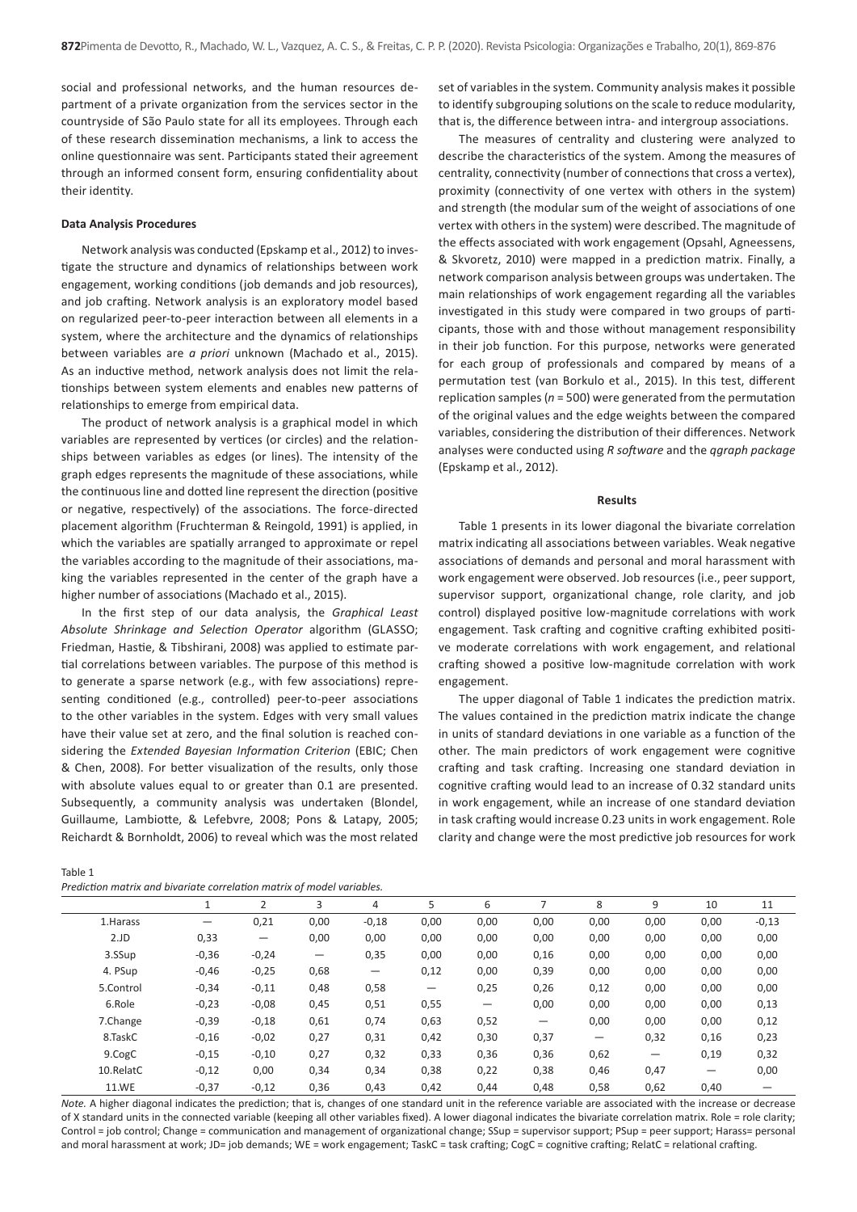social and professional networks, and the human resources department of a private organization from the services sector in the countryside of São Paulo state for all its employees. Through each of these research dissemination mechanisms, a link to access the online questionnaire was sent. Participants stated their agreement through an informed consent form, ensuring confidentiality about their identity.

#### **Data Analysis Procedures**

Network analysis was conducted (Epskamp et al., 2012) to investigate the structure and dynamics of relationships between work engagement, working conditions (job demands and job resources), and job crafting. Network analysis is an exploratory model based on regularized peer-to-peer interaction between all elements in a system, where the architecture and the dynamics of relationships between variables are *a priori* unknown (Machado et al., 2015). As an inductive method, network analysis does not limit the relationships between system elements and enables new patterns of relationships to emerge from empirical data.

The product of network analysis is a graphical model in which variables are represented by vertices (or circles) and the relationships between variables as edges (or lines). The intensity of the graph edges represents the magnitude of these associations, while the continuous line and dotted line represent the direction (positive or negative, respectively) of the associations. The force-directed placement algorithm (Fruchterman & Reingold, 1991) is applied, in which the variables are spatially arranged to approximate or repel the variables according to the magnitude of their associations, making the variables represented in the center of the graph have a higher number of associations (Machado et al., 2015).

In the first step of our data analysis, the *Graphical Least Absolute Shrinkage and Selection Operator* algorithm (GLASSO; Friedman, Hastie, & Tibshirani, 2008) was applied to estimate partial correlations between variables. The purpose of this method is to generate a sparse network (e.g., with few associations) representing conditioned (e.g., controlled) peer-to-peer associations to the other variables in the system. Edges with very small values have their value set at zero, and the final solution is reached considering the *Extended Bayesian Information Criterion* (EBIC; Chen & Chen, 2008). For better visualization of the results, only those with absolute values equal to or greater than 0.1 are presented. Subsequently, a community analysis was undertaken (Blondel, Guillaume, Lambiotte, & Lefebvre, 2008; Pons & Latapy, 2005; Reichardt & Bornholdt, 2006) to reveal which was the most related

| Table 1                                                                |  |
|------------------------------------------------------------------------|--|
| Prediction matrix and bivariate correlation matrix of model variables. |  |

set of variables in the system. Community analysis makes it possible to identify subgrouping solutions on the scale to reduce modularity, that is, the difference between intra- and intergroup associations.

The measures of centrality and clustering were analyzed to describe the characteristics of the system. Among the measures of centrality, connectivity (number of connections that cross a vertex), proximity (connectivity of one vertex with others in the system) and strength (the modular sum of the weight of associations of one vertex with others in the system) were described. The magnitude of the effects associated with work engagement (Opsahl, Agneessens, & Skvoretz, 2010) were mapped in a prediction matrix. Finally, a network comparison analysis between groups was undertaken. The main relationships of work engagement regarding all the variables investigated in this study were compared in two groups of participants, those with and those without management responsibility in their job function. For this purpose, networks were generated for each group of professionals and compared by means of a permutation test (van Borkulo et al., 2015). In this test, different replication samples (*n* = 500) were generated from the permutation of the original values and the edge weights between the compared variables, considering the distribution of their differences. Network analyses were conducted using *R software* and the *qgraph package* (Epskamp et al., 2012).

#### **Results**

Table 1 presents in its lower diagonal the bivariate correlation matrix indicating all associations between variables. Weak negative associations of demands and personal and moral harassment with work engagement were observed. Job resources (i.e., peer support, supervisor support, organizational change, role clarity, and job control) displayed positive low-magnitude correlations with work engagement. Task crafting and cognitive crafting exhibited positive moderate correlations with work engagement, and relational crafting showed a positive low-magnitude correlation with work engagement.

The upper diagonal of Table 1 indicates the prediction matrix. The values contained in the prediction matrix indicate the change in units of standard deviations in one variable as a function of the other. The main predictors of work engagement were cognitive crafting and task crafting. Increasing one standard deviation in cognitive crafting would lead to an increase of 0.32 standard units in work engagement, while an increase of one standard deviation in task crafting would increase 0.23 units in work engagement. Role clarity and change were the most predictive job resources for work

|              |         | ຳ                 | 3                        | 4                 | 5                 | 6    |      | 8    | 9               | 10   | 11      |  |
|--------------|---------|-------------------|--------------------------|-------------------|-------------------|------|------|------|-----------------|------|---------|--|
| 1. Harass    | —       | 0,21              | 0,00                     | $-0,18$           | 0,00              | 0,00 | 0,00 | 0,00 | 0,00            | 0,00 | $-0,13$ |  |
| 2.JD         | 0,33    | $\qquad \qquad -$ | 0,00                     | 0,00              | 0,00              | 0,00 | 0,00 | 0,00 | 0,00            | 0,00 | 0,00    |  |
| 3.SSup       | $-0,36$ | $-0,24$           | $\overline{\phantom{m}}$ | 0,35              | 0,00              | 0,00 | 0,16 | 0,00 | 0,00            | 0,00 | 0,00    |  |
| 4. PSup      | $-0,46$ | $-0,25$           | 0,68                     | $\qquad \qquad -$ | 0,12              | 0,00 | 0,39 | 0,00 | 0,00            | 0,00 | 0,00    |  |
| 5.Control    | $-0,34$ | $-0,11$           | 0,48                     | 0,58              | $\qquad \qquad -$ | 0,25 | 0,26 | 0,12 | 0,00            | 0,00 | 0,00    |  |
| 6.Role       | $-0,23$ | $-0.08$           | 0,45                     | 0,51              | 0,55              |      | 0,00 | 0,00 | 0,00            | 0,00 | 0,13    |  |
| 7.Change     | $-0,39$ | $-0,18$           | 0,61                     | 0,74              | 0,63              | 0,52 |      | 0,00 | 0,00            | 0,00 | 0,12    |  |
| 8.TaskC      | $-0,16$ | $-0,02$           | 0,27                     | 0,31              | 0,42              | 0,30 | 0,37 |      | 0,32            | 0,16 | 0,23    |  |
| 9.CogC       | $-0,15$ | $-0,10$           | 0,27                     | 0,32              | 0,33              | 0,36 | 0,36 | 0,62 | $\qquad \qquad$ | 0,19 | 0,32    |  |
| 10.RelatC    | $-0,12$ | 0,00              | 0,34                     | 0,34              | 0,38              | 0,22 | 0,38 | 0,46 | 0,47            | —    | 0,00    |  |
| <b>11.WE</b> | $-0,37$ | $-0,12$           | 0,36                     | 0,43              | 0,42              | 0,44 | 0,48 | 0,58 | 0,62            | 0,40 |         |  |

*Note.* A higher diagonal indicates the prediction; that is, changes of one standard unit in the reference variable are associated with the increase or decrease of X standard units in the connected variable (keeping all other variables fixed). A lower diagonal indicates the bivariate correlation matrix. Role = role clarity; Control = job control; Change = communication and management of organizational change; SSup = supervisor support; PSup = peer support; Harass= personal and moral harassment at work; JD= job demands; WE = work engagement; TaskC = task crafting; CogC = cognitive crafting; RelatC = relational crafting.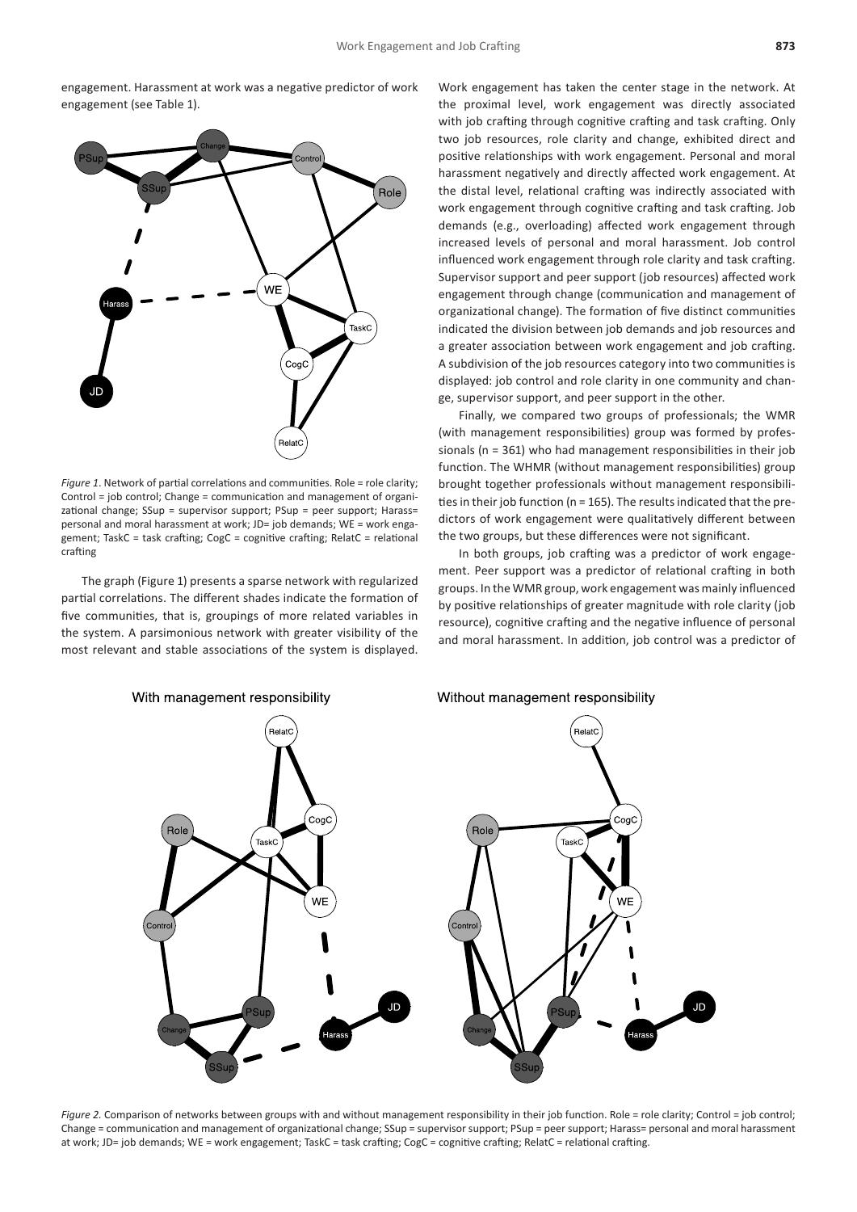engagement. Harassment at work was a negative predictor of work engagement (see Table 1).



*Figure 1*. Network of partial correlations and communities. Role = role clarity; Control = job control; Change = communication and management of organizational change; SSup = supervisor support; PSup = peer support; Harass= personal and moral harassment at work; JD= job demands; WE = work engagement; TaskC = task crafting; CogC = cognitive crafting; RelatC = relational crafting

The graph (Figure 1) presents a sparse network with regularized partial correlations. The different shades indicate the formation of five communities, that is, groupings of more related variables in the system. A parsimonious network with greater visibility of the most relevant and stable associations of the system is displayed. Work engagement has taken the center stage in the network. At the proximal level, work engagement was directly associated with job crafting through cognitive crafting and task crafting. Only two job resources, role clarity and change, exhibited direct and positive relationships with work engagement. Personal and moral harassment negatively and directly affected work engagement. At the distal level, relational crafting was indirectly associated with work engagement through cognitive crafting and task crafting. Job demands (e.g., overloading) affected work engagement through increased levels of personal and moral harassment. Job control influenced work engagement through role clarity and task crafting. Supervisor support and peer support (job resources) affected work engagement through change (communication and management of organizational change). The formation of five distinct communities indicated the division between job demands and job resources and a greater association between work engagement and job crafting. A subdivision of the job resources category into two communities is displayed: job control and role clarity in one community and change, supervisor support, and peer support in the other.

Finally, we compared two groups of professionals; the WMR (with management responsibilities) group was formed by professionals (n = 361) who had management responsibilities in their job function. The WHMR (without management responsibilities) group brought together professionals without management responsibilities in their job function (n = 165). The results indicated that the predictors of work engagement were qualitatively different between the two groups, but these differences were not significant.

In both groups, job crafting was a predictor of work engagement. Peer support was a predictor of relational crafting in both groups. In the WMR group, work engagement was mainly influenced by positive relationships of greater magnitude with role clarity (job resource), cognitive crafting and the negative influence of personal and moral harassment. In addition, job control was a predictor of



*Figure 2.* Comparison of networks between groups with and without management responsibility in their job function. Role = role clarity; Control = job control; Change = communication and management of organizational change; SSup = supervisor support; PSup = peer support; Harass= personal and moral harassment at work; JD= job demands; WE = work engagement; TaskC = task crafting; CogC = cognitive crafting; RelatC = relational crafting.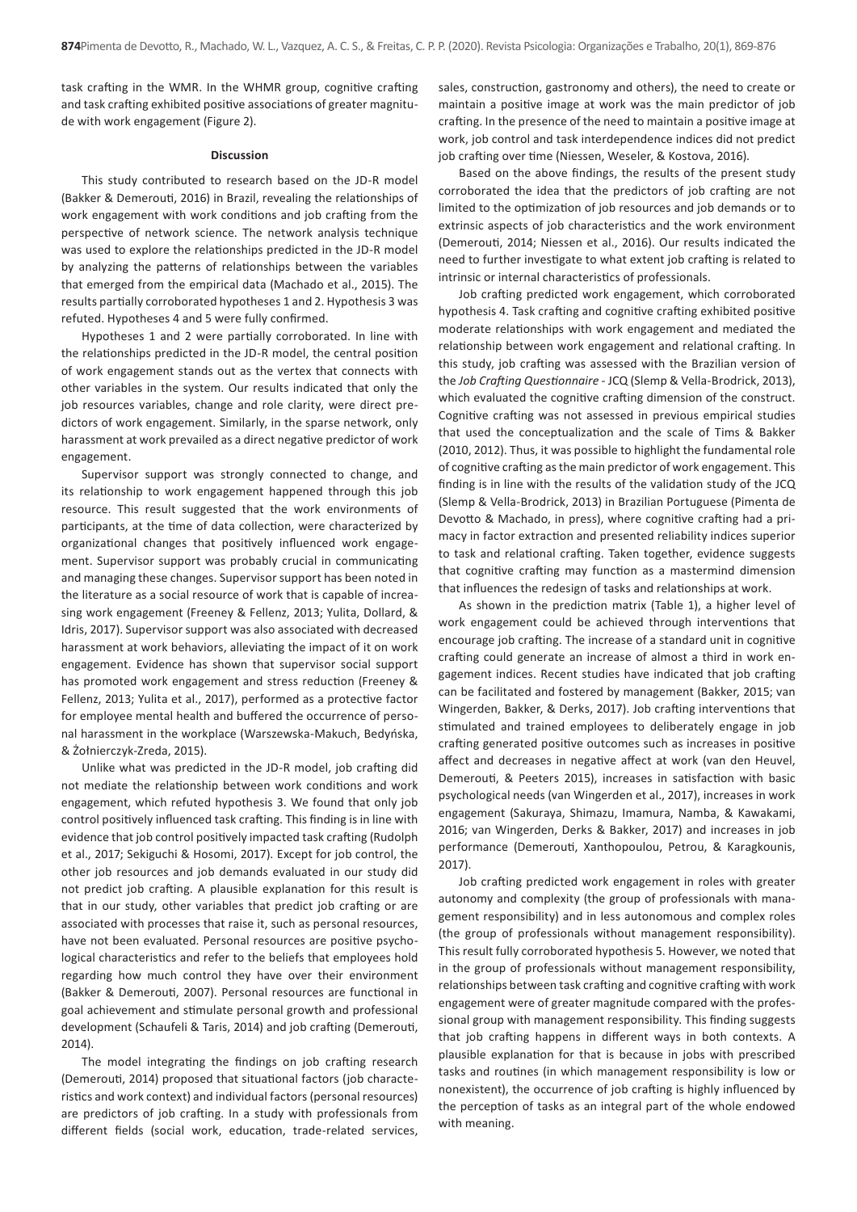task crafting in the WMR. In the WHMR group, cognitive crafting and task crafting exhibited positive associations of greater magnitude with work engagement (Figure 2).

#### **Discussion**

This study contributed to research based on the JD-R model (Bakker & Demerouti, 2016) in Brazil, revealing the relationships of work engagement with work conditions and job crafting from the perspective of network science. The network analysis technique was used to explore the relationships predicted in the JD-R model by analyzing the patterns of relationships between the variables that emerged from the empirical data (Machado et al., 2015). The results partially corroborated hypotheses 1 and 2. Hypothesis 3 was refuted. Hypotheses 4 and 5 were fully confirmed.

Hypotheses 1 and 2 were partially corroborated. In line with the relationships predicted in the JD-R model, the central position of work engagement stands out as the vertex that connects with other variables in the system. Our results indicated that only the job resources variables, change and role clarity, were direct predictors of work engagement. Similarly, in the sparse network, only harassment at work prevailed as a direct negative predictor of work engagement.

Supervisor support was strongly connected to change, and its relationship to work engagement happened through this job resource. This result suggested that the work environments of participants, at the time of data collection, were characterized by organizational changes that positively influenced work engagement. Supervisor support was probably crucial in communicating and managing these changes. Supervisor support has been noted in the literature as a social resource of work that is capable of increasing work engagement (Freeney & Fellenz, 2013; Yulita, Dollard, & Idris, 2017). Supervisor support was also associated with decreased harassment at work behaviors, alleviating the impact of it on work engagement. Evidence has shown that supervisor social support has promoted work engagement and stress reduction (Freeney & Fellenz, 2013; Yulita et al., 2017), performed as a protective factor for employee mental health and buffered the occurrence of personal harassment in the workplace (Warszewska-Makuch, Bedyńska, & Żołnierczyk-Zreda, 2015).

Unlike what was predicted in the JD-R model, job crafting did not mediate the relationship between work conditions and work engagement, which refuted hypothesis 3. We found that only job control positively influenced task crafting. This finding is in line with evidence that job control positively impacted task crafting (Rudolph et al., 2017; Sekiguchi & Hosomi, 2017). Except for job control, the other job resources and job demands evaluated in our study did not predict job crafting. A plausible explanation for this result is that in our study, other variables that predict job crafting or are associated with processes that raise it, such as personal resources, have not been evaluated. Personal resources are positive psychological characteristics and refer to the beliefs that employees hold regarding how much control they have over their environment (Bakker & Demerouti, 2007). Personal resources are functional in goal achievement and stimulate personal growth and professional development (Schaufeli & Taris, 2014) and job crafting (Demerouti, 2014).

The model integrating the findings on job crafting research (Demerouti, 2014) proposed that situational factors (job characteristics and work context) and individual factors (personal resources) are predictors of job crafting. In a study with professionals from different fields (social work, education, trade-related services,

sales, construction, gastronomy and others), the need to create or maintain a positive image at work was the main predictor of job crafting. In the presence of the need to maintain a positive image at work, job control and task interdependence indices did not predict job crafting over time (Niessen, Weseler, & Kostova, 2016).

Based on the above findings, the results of the present study corroborated the idea that the predictors of job crafting are not limited to the optimization of job resources and job demands or to extrinsic aspects of job characteristics and the work environment (Demerouti, 2014; Niessen et al., 2016). Our results indicated the need to further investigate to what extent job crafting is related to intrinsic or internal characteristics of professionals.

Job crafting predicted work engagement, which corroborated hypothesis 4. Task crafting and cognitive crafting exhibited positive moderate relationships with work engagement and mediated the relationship between work engagement and relational crafting. In this study, job crafting was assessed with the Brazilian version of the *Job Crafting Questionnaire* - JCQ (Slemp & Vella-Brodrick, 2013), which evaluated the cognitive crafting dimension of the construct. Cognitive crafting was not assessed in previous empirical studies that used the conceptualization and the scale of Tims & Bakker (2010, 2012). Thus, it was possible to highlight the fundamental role of cognitive crafting as the main predictor of work engagement. This finding is in line with the results of the validation study of the JCQ (Slemp & Vella-Brodrick, 2013) in Brazilian Portuguese (Pimenta de Devotto & Machado, in press), where cognitive crafting had a primacy in factor extraction and presented reliability indices superior to task and relational crafting. Taken together, evidence suggests that cognitive crafting may function as a mastermind dimension that influences the redesign of tasks and relationships at work.

As shown in the prediction matrix (Table 1), a higher level of work engagement could be achieved through interventions that encourage job crafting. The increase of a standard unit in cognitive crafting could generate an increase of almost a third in work engagement indices. Recent studies have indicated that job crafting can be facilitated and fostered by management (Bakker, 2015; van Wingerden, Bakker, & Derks, 2017). Job crafting interventions that stimulated and trained employees to deliberately engage in job crafting generated positive outcomes such as increases in positive affect and decreases in negative affect at work (van den Heuvel, Demerouti, & Peeters 2015), increases in satisfaction with basic psychological needs (van Wingerden et al., 2017), increases in work engagement (Sakuraya, Shimazu, Imamura, Namba, & Kawakami, 2016; van Wingerden, Derks & Bakker, 2017) and increases in job performance (Demerouti, Xanthopoulou, Petrou, & Karagkounis, 2017).

Job crafting predicted work engagement in roles with greater autonomy and complexity (the group of professionals with management responsibility) and in less autonomous and complex roles (the group of professionals without management responsibility). This result fully corroborated hypothesis 5. However, we noted that in the group of professionals without management responsibility, relationships between task crafting and cognitive crafting with work engagement were of greater magnitude compared with the professional group with management responsibility. This finding suggests that job crafting happens in different ways in both contexts. A plausible explanation for that is because in jobs with prescribed tasks and routines (in which management responsibility is low or nonexistent), the occurrence of job crafting is highly influenced by the perception of tasks as an integral part of the whole endowed with meaning.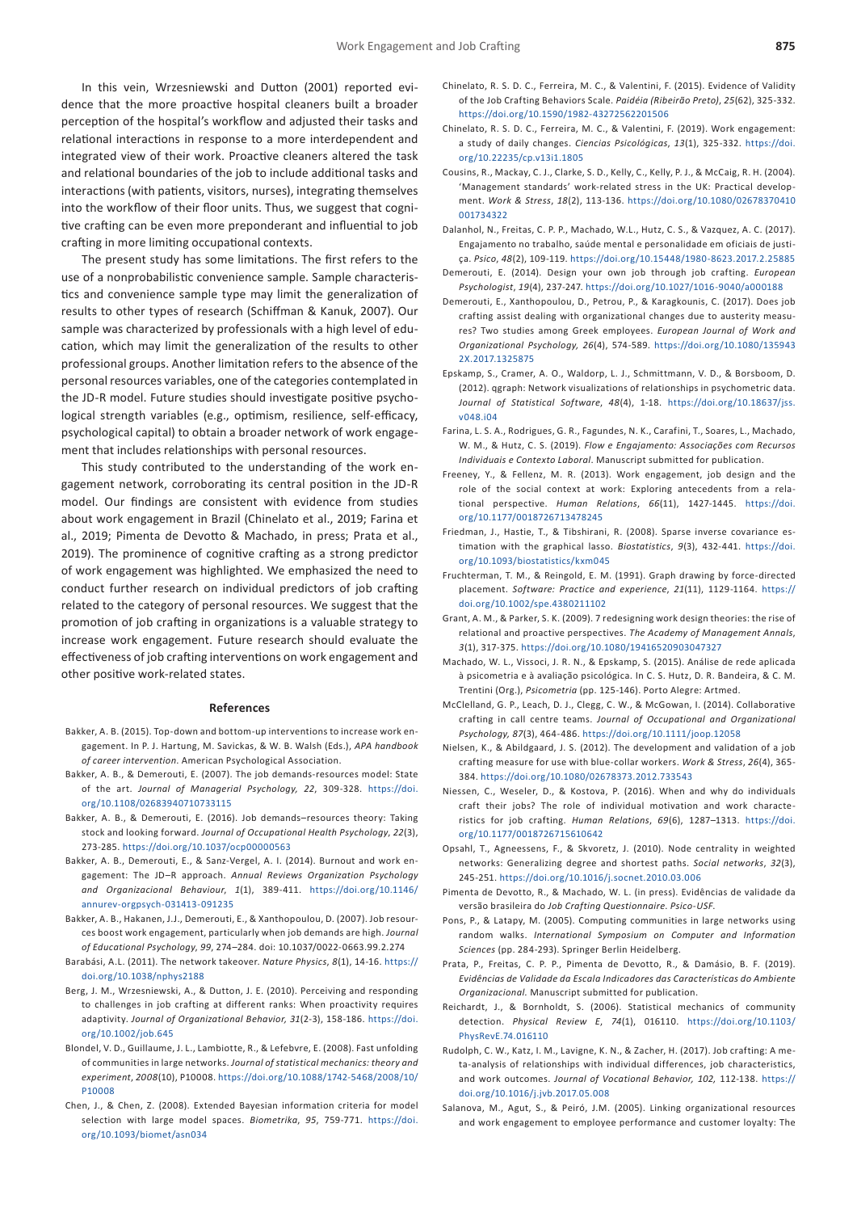In this vein, Wrzesniewski and Dutton (2001) reported evidence that the more proactive hospital cleaners built a broader perception of the hospital's workflow and adjusted their tasks and relational interactions in response to a more interdependent and integrated view of their work. Proactive cleaners altered the task and relational boundaries of the job to include additional tasks and interactions (with patients, visitors, nurses), integrating themselves into the workflow of their floor units. Thus, we suggest that cognitive crafting can be even more preponderant and influential to job crafting in more limiting occupational contexts.

The present study has some limitations. The first refers to the use of a nonprobabilistic convenience sample. Sample characteristics and convenience sample type may limit the generalization of results to other types of research (Schiffman & Kanuk, 2007). Our sample was characterized by professionals with a high level of education, which may limit the generalization of the results to other professional groups. Another limitation refers to the absence of the personal resources variables, one of the categories contemplated in the JD-R model. Future studies should investigate positive psychological strength variables (e.g., optimism, resilience, self-efficacy, psychological capital) to obtain a broader network of work engagement that includes relationships with personal resources.

This study contributed to the understanding of the work engagement network, corroborating its central position in the JD-R model. Our findings are consistent with evidence from studies about work engagement in Brazil (Chinelato et al., 2019; Farina et al., 2019; Pimenta de Devotto & Machado, in press; Prata et al., 2019). The prominence of cognitive crafting as a strong predictor of work engagement was highlighted. We emphasized the need to conduct further research on individual predictors of job crafting related to the category of personal resources. We suggest that the promotion of job crafting in organizations is a valuable strategy to increase work engagement. Future research should evaluate the effectiveness of job crafting interventions on work engagement and other positive work-related states.

#### **References**

- Bakker, A. B. (2015). Top-down and bottom-up interventions to increase work engagement. In P. J. Hartung, M. Savickas, & W. B. Walsh (Eds.), *APA handbook of career intervention*. American Psychological Association.
- Bakker, A. B., & Demerouti, E. (2007). The job demands-resources model: State of the art. *Journal of Managerial Psychology, 22*, 309-328. [https://doi.](https://doi.org/10.1108/02683940710733115) [org/10.1108/02683940710733115](https://doi.org/10.1108/02683940710733115)
- Bakker, A. B., & Demerouti, E. (2016). Job demands–resources theory: Taking stock and looking forward. *Journal of Occupational Health Psychology*, *22*(3), 273-285.<https://doi.org/10.1037/ocp00000563>
- Bakker, A. B., Demerouti, E., & Sanz-Vergel, A. I. (2014). Burnout and work engagement: The JD–R approach. *Annual Reviews Organization Psychology and Organizacional Behaviour*, *1*(1), 389-411. [https://doi.org/10.1146/](https://doi.org/10.1146/annurev-orgpsych-031413-091235) [annurev-orgpsych-031413-091235](https://doi.org/10.1146/annurev-orgpsych-031413-091235)
- Bakker, A. B., Hakanen, J.J., Demerouti, E., & Xanthopoulou, D. (2007). Job resources boost work engagement, particularly when job demands are high. *Journal of Educational Psychology*, *99*, 274–284. doi: 10.1037/0022-0663.99.2.274
- Barabási, A.L. (2011). The network takeover. *Nature Physics*, *8*(1), 14-16. [https://](https://doi.org/10.1038/nphys2188) [doi.org/10.1038/nphys2188](https://doi.org/10.1038/nphys2188)
- Berg, J. M., Wrzesniewski, A., & Dutton, J. E. (2010). Perceiving and responding to challenges in job crafting at different ranks: When proactivity requires adaptivity. *Journal of Organizational Behavior, 31*(2-3), 158-186. [https://doi.](https://doi.org/10.1002/job.645) [org/10.1002/job.645](https://doi.org/10.1002/job.645)
- Blondel, V. D., Guillaume, J. L., Lambiotte, R., & Lefebvre, E. (2008). Fast unfolding of communities in large networks. *Journal of statistical mechanics: theory and experiment*, *2008*(10), P10008. [https://doi.org/10.1088/1742-5468/2008/10/](https://doi.org/10.1088/1742-5468/2008/10/P10008) [P10008](https://doi.org/10.1088/1742-5468/2008/10/P10008)
- Chen, J., & Chen, Z. (2008). Extended Bayesian information criteria for model selection with large model spaces. *Biometrika*, *95*, 759-771. [https://doi.](https://doi.org/10.1093/biomet/asn034) [org/10.1093/biomet/asn034](https://doi.org/10.1093/biomet/asn034)
- Chinelato, R. S. D. C., Ferreira, M. C., & Valentini, F. (2015). Evidence of Validity of the Job Crafting Behaviors Scale. *Paidéia (Ribeirão Preto)*, *25*(62), 325-332. [https://doi.org/10.1590/1982-43272562201506](https://doi.org/10.1590/1982-43272562201506 )
- Chinelato, R. S. D. C., Ferreira, M. C., & Valentini, F. (2019). Work engagement: a study of daily changes. *Ciencias Psicológicas*, *13*(1), 325-332. [https://doi.](https://doi.org/10.22235/cp.v13i1.1805) [org/10.22235/cp.v13i1.1805](https://doi.org/10.22235/cp.v13i1.1805)
- Cousins, R., Mackay, C. J., Clarke, S. D., Kelly, C., Kelly, P. J., & McCaig, R. H. (2004). 'Management standards' work-related stress in the UK: Practical development. *Work & Stress*, *18*(2), 113-136. [https://doi.org/10.1080/02678370410](https://doi.org/10.1080/02678370410001734322) [001734322](https://doi.org/10.1080/02678370410001734322)
- Dalanhol, N., Freitas, C. P. P., Machado, W.L., Hutz, C. S., & Vazquez, A. C. (2017). Engajamento no trabalho, saúde mental e personalidade em oficiais de justiça. *Psico*, *48*(2), 109-119.<https://doi.org/10.15448/1980-8623.2017.2.25885>
- Demerouti, E. (2014). Design your own job through job crafting. *European Psychologist*, *19*(4), 237-247. <https://doi.org/10.1027/1016-9040/a000188>
- Demerouti, E., Xanthopoulou, D., Petrou, P., & Karagkounis, C. (2017). Does job crafting assist dealing with organizational changes due to austerity measures? Two studies among Greek employees. *European Journal of Work and Organizational Psychology, 26*(4), 574-589. [https://doi.org/10.1080/135943](https://doi.org/10.1080/1359432X.2017.1325875) [2X.2017.1325875](https://doi.org/10.1080/1359432X.2017.1325875)
- Epskamp, S., Cramer, A. O., Waldorp, L. J., Schmittmann, V. D., & Borsboom, D. (2012). qgraph: Network visualizations of relationships in psychometric data. *Journal of Statistical Software*, *48*(4), 1-18. [https://doi.org/10.18637/jss.](https://doi.org/10.18637/jss.v048.i04) [v048.i04](https://doi.org/10.18637/jss.v048.i04)
- Farina, L. S. A., Rodrigues, G. R., Fagundes, N. K., Carafini, T., Soares, L., Machado, W. M., & Hutz, C. S. (2019). *Flow e Engajamento: Associações com Recursos Individuais e Contexto Laboral*. Manuscript submitted for publication.
- Freeney, Y., & Fellenz, M. R. (2013). Work engagement, job design and the role of the social context at work: Exploring antecedents from a relational perspective. *Human Relations*, *66*(11), 1427-1445. [https://doi.](https://doi.org/10.1177/0018726713478245) [org/10.1177/0018726713478245](https://doi.org/10.1177/0018726713478245)
- Friedman, J., Hastie, T., & Tibshirani, R. (2008). Sparse inverse covariance estimation with the graphical lasso. *Biostatistics*, *9*(3), 432-441. [https://doi.](https://doi.org/10.1093/biostatistics/kxm045) [org/10.1093/biostatistics/kxm045](https://doi.org/10.1093/biostatistics/kxm045)
- Fruchterman, T. M., & Reingold, E. M. (1991). Graph drawing by force‐directed placement. *Software: Practice and experience*, *21*(11), 1129-1164. [https://](https://doi.org/10.1002/spe.4380211102) [doi.org/10.1002/spe.4380211102](https://doi.org/10.1002/spe.4380211102)
- Grant, A. M., & Parker, S. K. (2009). 7 redesigning work design theories: the rise of relational and proactive perspectives. *The Academy of Management Annals*, *3*(1), 317-375.<https://doi.org/10.1080/19416520903047327>
- Machado, W. L., Vissoci, J. R. N., & Epskamp, S. (2015). Análise de rede aplicada à psicometria e à avaliação psicológica. In C. S. Hutz, D. R. Bandeira, & C. M. Trentini (Org.), *Psicometria* (pp. 125-146). Porto Alegre: Artmed.
- McClelland, G. P., Leach, D. J., Clegg, C. W., & McGowan, I. (2014). Collaborative crafting in call centre teams. *Journal of Occupational and Organizational Psychology, 87*(3), 464-486. <https://doi.org/10.1111/joop.12058>
- Nielsen, K., & Abildgaard, J. S. (2012). The development and validation of a job crafting measure for use with blue-collar workers. *Work & Stress*, *26*(4), 365- 384. <https://doi.org/10.1080/02678373.2012.733543>
- Niessen, C., Weseler, D., & Kostova, P. (2016). When and why do individuals craft their jobs? The role of individual motivation and work characteristics for job crafting. *Human Relations*, *69*(6), 1287–1313. [https://doi.](https://doi.org/10.1177/0018726715610642) [org/10.1177/0018726715610642](https://doi.org/10.1177/0018726715610642)
- Opsahl, T., Agneessens, F., & Skvoretz, J. (2010). Node centrality in weighted networks: Generalizing degree and shortest paths. *Social networks*, *32*(3), 245-251.<https://doi.org/10.1016/j.socnet.2010.03.006>
- Pimenta de Devotto, R., & Machado, W. L. (in press). Evidências de validade da versão brasileira do *Job Crafting Questionnaire*. *Psico-USF*.
- Pons, P., & Latapy, M. (2005). Computing communities in large networks using random walks. *International Symposium on Computer and Information Sciences* (pp. 284-293). Springer Berlin Heidelberg.
- Prata, P., Freitas, C. P. P., Pimenta de Devotto, R., & Damásio, B. F. (2019). *Evidências de Validade da Escala Indicadores das Características do Ambiente Organizacional.* Manuscript submitted for publication.
- Reichardt, J., & Bornholdt, S. (2006). Statistical mechanics of community detection. *Physical Review E*, *74*(1), 016110. [https://doi.org/10.1103/](https://doi.org/10.1103/PhysRevE.74.016110) [PhysRevE.74.016110](https://doi.org/10.1103/PhysRevE.74.016110)
- Rudolph, C. W., Katz, I. M., Lavigne, K. N., & Zacher, H. (2017). Job crafting: A meta-analysis of relationships with individual differences, job characteristics, and work outcomes. *Journal of Vocational Behavior, 102,* 112-138. [https://](https://doi.org/10.1016/j.jvb.2017.05.008) [doi.org/10.1016/j.jvb.2017.05.008](https://doi.org/10.1016/j.jvb.2017.05.008)
- Salanova, M., Agut, S., & Peiró, J.M. (2005). Linking organizational resources and work engagement to employee performance and customer loyalty: The